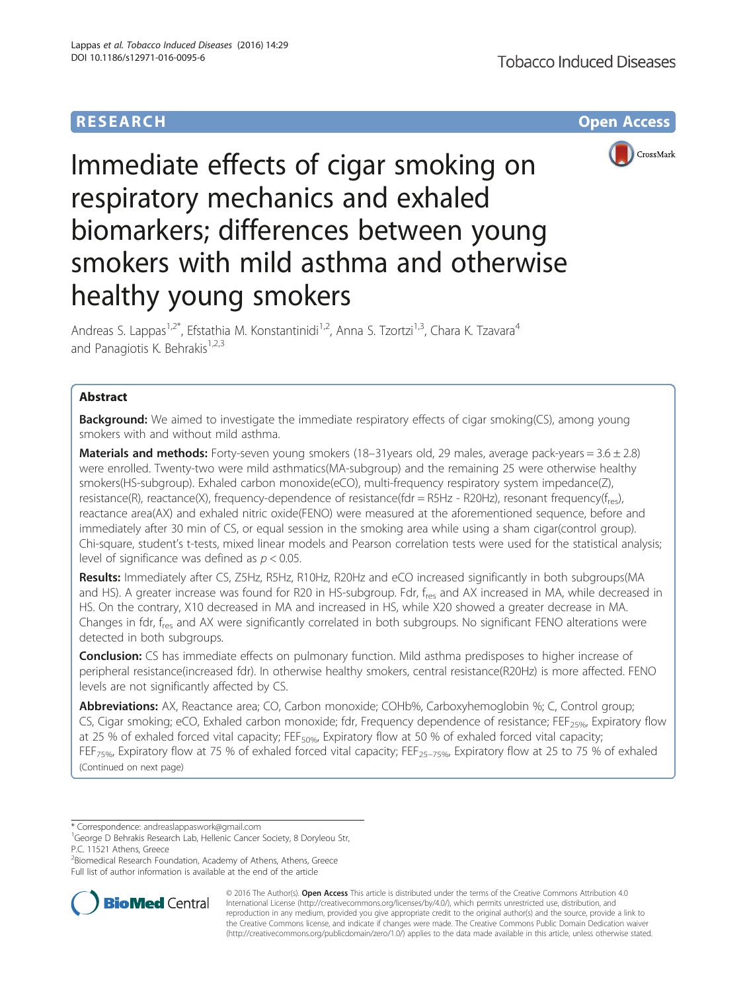## **RESEARCH CHE Open Access**



# Immediate effects of cigar smoking on respiratory mechanics and exhaled biomarkers; differences between young smokers with mild asthma and otherwise healthy young smokers

Andreas S. Lappas<sup>1,2\*</sup>, Efstathia M. Konstantinidi<sup>1,2</sup>, Anna S. Tzortzi<sup>1,3</sup>, Chara K. Tzavara<sup>4</sup> and Panagiotis K. Behrakis $1,2,3$ 

## Abstract

**Background:** We aimed to investigate the immediate respiratory effects of cigar smoking(CS), among young smokers with and without mild asthma.

**Materials and methods:** Forty-seven young smokers (18–31years old, 29 males, average pack-years =  $3.6 \pm 2.8$ ) were enrolled. Twenty-two were mild asthmatics(MA-subgroup) and the remaining 25 were otherwise healthy smokers(HS-subgroup). Exhaled carbon monoxide(eCO), multi-frequency respiratory system impedance(Z), resistance(R), reactance(X), frequency-dependence of resistance(fdr = R5Hz - R20Hz), resonant frequency( $f_{res}$ ), reactance area(AX) and exhaled nitric oxide(FENO) were measured at the aforementioned sequence, before and immediately after 30 min of CS, or equal session in the smoking area while using a sham cigar(control group). Chi-square, student's t-tests, mixed linear models and Pearson correlation tests were used for the statistical analysis; level of significance was defined as  $p < 0.05$ .

Results: Immediately after CS, Z5Hz, R5Hz, R10Hz, R20Hz and eCO increased significantly in both subgroups(MA and HS). A greater increase was found for R20 in HS-subgroup. Fdr, fres and AX increased in MA, while decreased in HS. On the contrary, X10 decreased in MA and increased in HS, while X20 showed a greater decrease in MA. Changes in fdr, f<sub>res</sub> and AX were significantly correlated in both subgroups. No significant FENO alterations were detected in both subgroups.

**Conclusion:** CS has immediate effects on pulmonary function. Mild asthma predisposes to higher increase of peripheral resistance(increased fdr). In otherwise healthy smokers, central resistance(R20Hz) is more affected. FENO levels are not significantly affected by CS.

Abbreviations: AX, Reactance area; CO, Carbon monoxide; COHb%, Carboxyhemoglobin %; C, Control group; CS, Cigar smoking; eCO, Exhaled carbon monoxide; fdr, Frequency dependence of resistance; FEF<sub>25%</sub>, Expiratory flow at 25 % of exhaled forced vital capacity;  $FE_{50\%}$  Expiratory flow at 50 % of exhaled forced vital capacity; FEF<sub>75%</sub>, Expiratory flow at 75 % of exhaled forced vital capacity; FEF<sub>25–75%</sub>, Expiratory flow at 25 to 75 % of exhaled (Continued on next page)

\* Correspondence: [andreaslappaswork@gmail.com](mailto:andreaslappaswork@gmail.com) <sup>1</sup>

<sup>2</sup> Biomedical Research Foundation, Academy of Athens, Athens, Greece Full list of author information is available at the end of the article



© 2016 The Author(s). Open Access This article is distributed under the terms of the Creative Commons Attribution 4.0 International License [\(http://creativecommons.org/licenses/by/4.0/](http://creativecommons.org/licenses/by/4.0/)), which permits unrestricted use, distribution, and reproduction in any medium, provided you give appropriate credit to the original author(s) and the source, provide a link to the Creative Commons license, and indicate if changes were made. The Creative Commons Public Domain Dedication waiver [\(http://creativecommons.org/publicdomain/zero/1.0/](http://creativecommons.org/publicdomain/zero/1.0/)) applies to the data made available in this article, unless otherwise stated.

<sup>&</sup>lt;sup>1</sup>George D Behrakis Research Lab, Hellenic Cancer Society, 8 Doryleou Str, P.C. 11521 Athens, Greece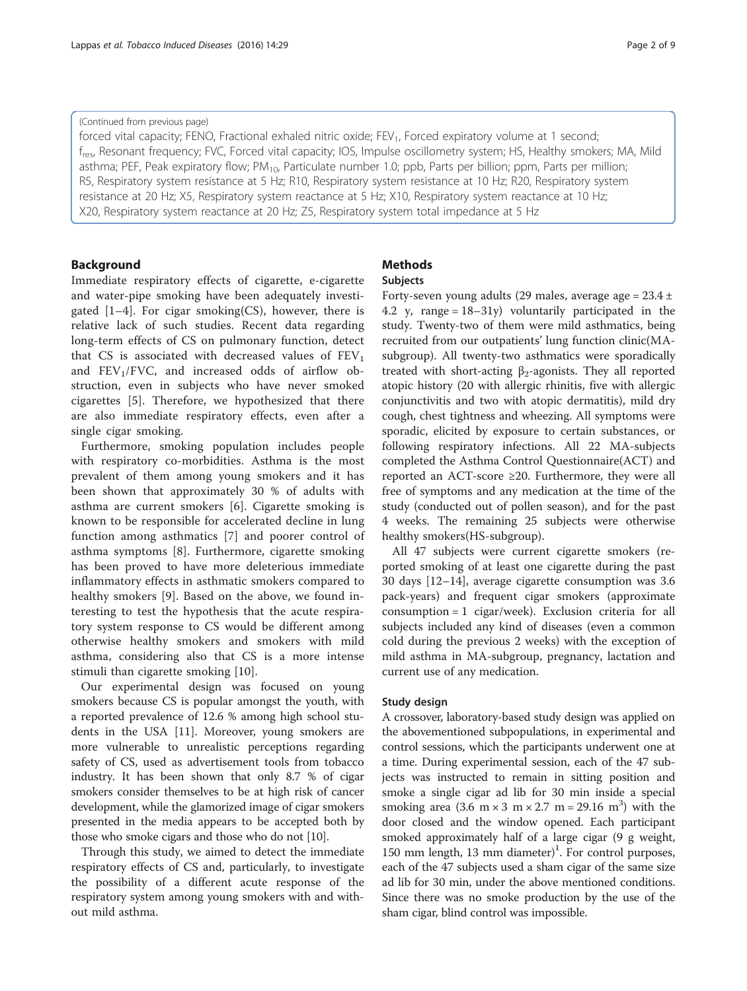#### (Continued from previous page)

forced vital capacity; FENO, Fractional exhaled nitric oxide; FEV<sub>1</sub>, Forced expiratory volume at 1 second; f<sub>res</sub>, Resonant frequency; FVC, Forced vital capacity; IOS, Impulse oscillometry system; HS, Healthy smokers; MA, Mild asthma; PEF, Peak expiratory flow;  $PM_{10}$ , Particulate number 1.0; ppb, Parts per billion; ppm, Parts per million; R5, Respiratory system resistance at 5 Hz; R10, Respiratory system resistance at 10 Hz; R20, Respiratory system resistance at 20 Hz; X5, Respiratory system reactance at 5 Hz; X10, Respiratory system reactance at 10 Hz; X20, Respiratory system reactance at 20 Hz; Z5, Respiratory system total impedance at 5 Hz

## Background

Immediate respiratory effects of cigarette, e-cigarette and water-pipe smoking have been adequately investigated [[1](#page-7-0)–[4\]](#page-7-0). For cigar smoking(CS), however, there is relative lack of such studies. Recent data regarding long-term effects of CS on pulmonary function, detect that CS is associated with decreased values of  $FEV<sub>1</sub>$ and  $FEV<sub>1</sub>/FVC$ , and increased odds of airflow obstruction, even in subjects who have never smoked cigarettes [\[5](#page-7-0)]. Therefore, we hypothesized that there are also immediate respiratory effects, even after a single cigar smoking.

Furthermore, smoking population includes people with respiratory co-morbidities. Asthma is the most prevalent of them among young smokers and it has been shown that approximately 30 % of adults with asthma are current smokers [[6\]](#page-7-0). Cigarette smoking is known to be responsible for accelerated decline in lung function among asthmatics [[7\]](#page-7-0) and poorer control of asthma symptoms [[8](#page-7-0)]. Furthermore, cigarette smoking has been proved to have more deleterious immediate inflammatory effects in asthmatic smokers compared to healthy smokers [[9](#page-7-0)]. Based on the above, we found interesting to test the hypothesis that the acute respiratory system response to CS would be different among otherwise healthy smokers and smokers with mild asthma, considering also that CS is a more intense stimuli than cigarette smoking [[10](#page-7-0)].

Our experimental design was focused on young smokers because CS is popular amongst the youth, with a reported prevalence of 12.6 % among high school students in the USA [\[11](#page-8-0)]. Moreover, young smokers are more vulnerable to unrealistic perceptions regarding safety of CS, used as advertisement tools from tobacco industry. It has been shown that only 8.7 % of cigar smokers consider themselves to be at high risk of cancer development, while the glamorized image of cigar smokers presented in the media appears to be accepted both by those who smoke cigars and those who do not [[10](#page-7-0)].

Through this study, we aimed to detect the immediate respiratory effects of CS and, particularly, to investigate the possibility of a different acute response of the respiratory system among young smokers with and without mild asthma.

## **Methods** Subjects

Forty-seven young adults (29 males, average age =  $23.4 \pm$ 4.2 y, range = 18–31y) voluntarily participated in the study. Twenty-two of them were mild asthmatics, being recruited from our outpatients' lung function clinic(MAsubgroup). All twenty-two asthmatics were sporadically treated with short-acting  $β_2$ -agonists. They all reported atopic history (20 with allergic rhinitis, five with allergic conjunctivitis and two with atopic dermatitis), mild dry cough, chest tightness and wheezing. All symptoms were sporadic, elicited by exposure to certain substances, or following respiratory infections. All 22 MA-subjects completed the Asthma Control Questionnaire(ACT) and reported an ACT-score ≥20. Furthermore, they were all free of symptoms and any medication at the time of the study (conducted out of pollen season), and for the past 4 weeks. The remaining 25 subjects were otherwise healthy smokers(HS-subgroup).

All 47 subjects were current cigarette smokers (reported smoking of at least one cigarette during the past 30 days [[12](#page-8-0)–[14\]](#page-8-0), average cigarette consumption was 3.6 pack-years) and frequent cigar smokers (approximate consumption = 1 cigar/week). Exclusion criteria for all subjects included any kind of diseases (even a common cold during the previous 2 weeks) with the exception of mild asthma in MA-subgroup, pregnancy, lactation and current use of any medication.

#### Study design

A crossover, laboratory-based study design was applied on the abovementioned subpopulations, in experimental and control sessions, which the participants underwent one at a time. During experimental session, each of the 47 subjects was instructed to remain in sitting position and smoke a single cigar ad lib for 30 min inside a special smoking area  $(3.6 \text{ m} \times 3 \text{ m} \times 2.7 \text{ m} = 29.16 \text{ m}^3)$  with the door closed and the window opened. Each participant smoked approximately half of a large cigar (9 g weight, 150 mm length, 13 mm diameter)<sup>1</sup>. For control purposes, each of the 47 subjects used a sham cigar of the same size ad lib for 30 min, under the above mentioned conditions. Since there was no smoke production by the use of the sham cigar, blind control was impossible.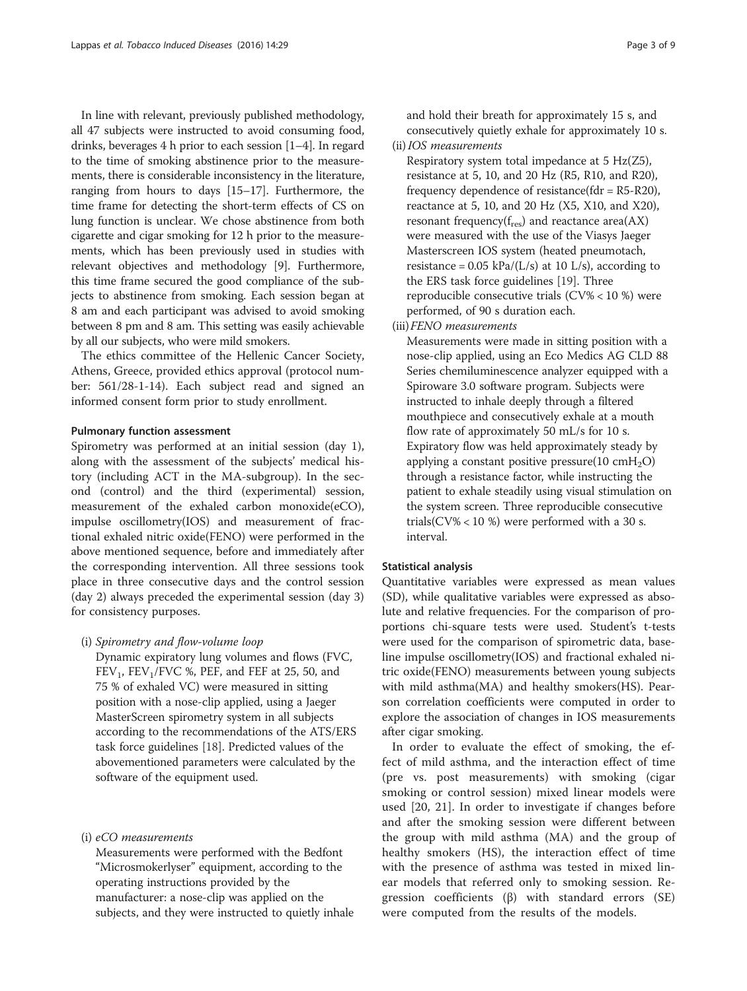In line with relevant, previously published methodology, all 47 subjects were instructed to avoid consuming food, drinks, beverages 4 h prior to each session [[1](#page-7-0)–[4](#page-7-0)]. In regard to the time of smoking abstinence prior to the measurements, there is considerable inconsistency in the literature, ranging from hours to days [\[15](#page-8-0)–[17](#page-8-0)]. Furthermore, the time frame for detecting the short-term effects of CS on lung function is unclear. We chose abstinence from both cigarette and cigar smoking for 12 h prior to the measurements, which has been previously used in studies with relevant objectives and methodology [\[9](#page-7-0)]. Furthermore, this time frame secured the good compliance of the subjects to abstinence from smoking. Each session began at 8 am and each participant was advised to avoid smoking between 8 pm and 8 am. This setting was easily achievable by all our subjects, who were mild smokers.

The ethics committee of the Hellenic Cancer Society, Athens, Greece, provided ethics approval (protocol number: 561/28-1-14). Each subject read and signed an informed consent form prior to study enrollment.

#### Pulmonary function assessment

Spirometry was performed at an initial session (day 1), along with the assessment of the subjects' medical history (including ACT in the MA-subgroup). In the second (control) and the third (experimental) session, measurement of the exhaled carbon monoxide(eCO), impulse oscillometry(IOS) and measurement of fractional exhaled nitric oxide(FENO) were performed in the above mentioned sequence, before and immediately after the corresponding intervention. All three sessions took place in three consecutive days and the control session (day 2) always preceded the experimental session (day 3) for consistency purposes.

## (i) Spirometry and flow-volume loop

Dynamic expiratory lung volumes and flows (FVC,  $FEV<sub>1</sub>$ ,  $FEV<sub>1</sub>/FVC$  %, PEF, and FEF at 25, 50, and 75 % of exhaled VC) were measured in sitting position with a nose-clip applied, using a Jaeger MasterScreen spirometry system in all subjects according to the recommendations of the ATS/ERS task force guidelines [\[18\]](#page-8-0). Predicted values of the abovementioned parameters were calculated by the software of the equipment used.

#### (i) eCO measurements

Measurements were performed with the Bedfont "Microsmokerlyser" equipment, according to the operating instructions provided by the manufacturer: a nose-clip was applied on the subjects, and they were instructed to quietly inhale

and hold their breath for approximately 15 s, and consecutively quietly exhale for approximately 10 s. (ii)IOS measurements

- Respiratory system total impedance at 5 Hz(Z5), resistance at 5, 10, and 20 Hz (R5, R10, and R20), frequency dependence of resistance( $fdr = R5-R20$ ), reactance at 5, 10, and 20 Hz (X5, X10, and X20), resonant frequency( $f_{res}$ ) and reactance area( $AX$ ) were measured with the use of the Viasys Jaeger Masterscreen IOS system (heated pneumotach, resistance =  $0.05$  kPa/(L/s) at 10 L/s), according to the ERS task force guidelines [\[19\]](#page-8-0). Three reproducible consecutive trials (CV% < 10 %) were performed, of 90 s duration each.
- (iii)FENO measurements

Measurements were made in sitting position with a nose-clip applied, using an Eco Medics AG CLD 88 Series chemiluminescence analyzer equipped with a Spiroware 3.0 software program. Subjects were instructed to inhale deeply through a filtered mouthpiece and consecutively exhale at a mouth flow rate of approximately 50 mL/s for 10 s. Expiratory flow was held approximately steady by applying a constant positive pressure(10 cmH<sub>2</sub>O) through a resistance factor, while instructing the patient to exhale steadily using visual stimulation on the system screen. Three reproducible consecutive trials( $CV\%$  < 10 %) were performed with a 30 s. interval.

#### Statistical analysis

Quantitative variables were expressed as mean values (SD), while qualitative variables were expressed as absolute and relative frequencies. For the comparison of proportions chi-square tests were used. Student's t-tests were used for the comparison of spirometric data, baseline impulse oscillometry(IOS) and fractional exhaled nitric oxide(FENO) measurements between young subjects with mild asthma(MA) and healthy smokers(HS). Pearson correlation coefficients were computed in order to explore the association of changes in IOS measurements after cigar smoking.

In order to evaluate the effect of smoking, the effect of mild asthma, and the interaction effect of time (pre vs. post measurements) with smoking (cigar smoking or control session) mixed linear models were used [[20, 21](#page-8-0)]. In order to investigate if changes before and after the smoking session were different between the group with mild asthma (MA) and the group of healthy smokers (HS), the interaction effect of time with the presence of asthma was tested in mixed linear models that referred only to smoking session. Regression coefficients (β) with standard errors (SE) were computed from the results of the models.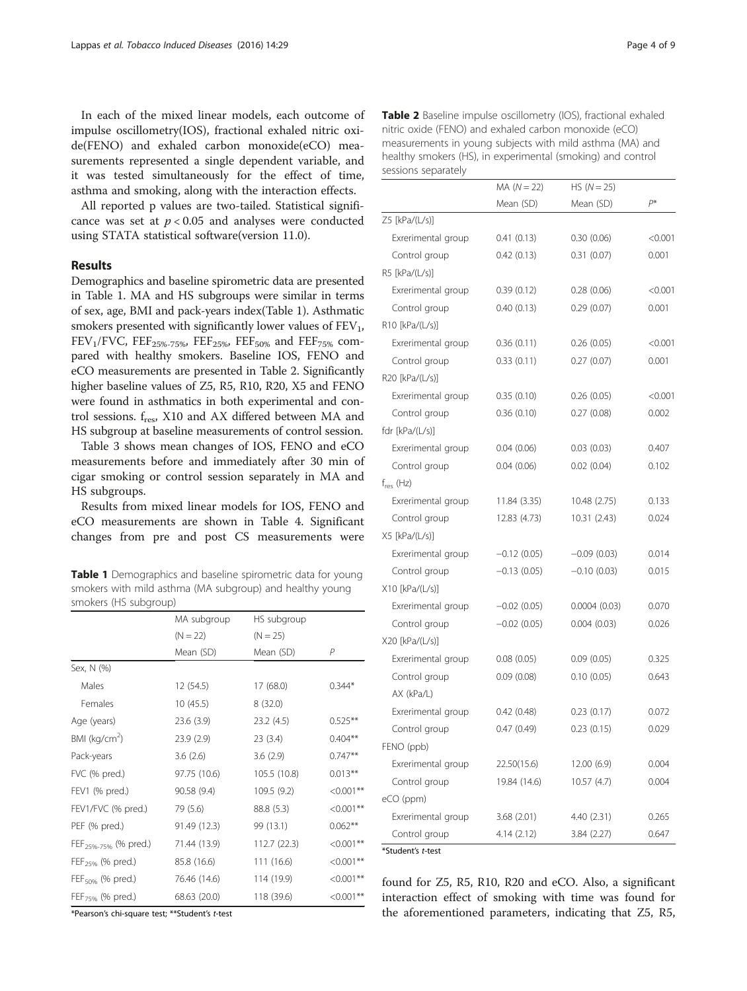In each of the mixed linear models, each outcome of impulse oscillometry(IOS), fractional exhaled nitric oxide(FENO) and exhaled carbon monoxide(eCO) measurements represented a single dependent variable, and it was tested simultaneously for the effect of time, asthma and smoking, along with the interaction effects.

All reported p values are two-tailed. Statistical significance was set at  $p < 0.05$  and analyses were conducted using STATA statistical software(version 11.0).

## Results

Demographics and baseline spirometric data are presented in Table 1. MA and HS subgroups were similar in terms of sex, age, BMI and pack-years index(Table 1). Asthmatic smokers presented with significantly lower values of  $FEV<sub>1</sub>$ ,  $FEV_1/FVC$ ,  $FEF_{25\%-75\%}$ ,  $FEF_{25\%}$ ,  $FEF_{50\%}$  and  $FEF_{75\%}$  compared with healthy smokers. Baseline IOS, FENO and eCO measurements are presented in Table 2. Significantly higher baseline values of Z5, R5, R10, R20, X5 and FENO were found in asthmatics in both experimental and control sessions. f<sub>res</sub>, X10 and AX differed between MA and HS subgroup at baseline measurements of control session.

Table [3](#page-4-0) shows mean changes of IOS, FENO and eCO measurements before and immediately after 30 min of cigar smoking or control session separately in MA and HS subgroups.

Results from mixed linear models for IOS, FENO and eCO measurements are shown in Table [4](#page-5-0). Significant changes from pre and post CS measurements were

Table 1 Demographics and baseline spirometric data for young smokers with mild asthma (MA subgroup) and healthy young smokers (HS subgroup)

|                                  | MA subgroup  | HS subgroup  |              |
|----------------------------------|--------------|--------------|--------------|
|                                  | $(N = 22)$   | $(N = 25)$   |              |
|                                  | Mean (SD)    | Mean (SD)    | P            |
| Sex, N (%)                       |              |              |              |
| Males                            | 12 (54.5)    | 17(68.0)     | $0.344*$     |
| Females                          | 10 (45.5)    | 8(32.0)      |              |
| Age (years)                      | 23.6(3.9)    | 23.2(4.5)    | $0.525***$   |
| $BMI$ (kg/cm <sup>2</sup> )      | 23.9(2.9)    | 23(3.4)      | $0.404**$    |
| Pack-years                       | 3.6(2.6)     | 3.6(2.9)     | $0.747**$    |
| FVC (% pred.)                    | 97.75 (10.6) | 105.5 (10.8) | $0.013***$   |
| FEV1 (% pred.)                   | 90.58 (9.4)  | 109.5 (9.2)  | $< 0.001$ ** |
| FEV1/FVC (% pred.)               | 79 (5.6)     | 88.8 (5.3)   | $< 0.001**$  |
| PEF (% pred.)                    | 91.49 (12.3) | 99 (13.1)    | $0.062**$    |
| FEF <sub>25%-75%</sub> (% pred.) | 71.44 (13.9) | 112.7 (22.3) | $< 0.001**$  |
| FEF <sub>25%</sub> (% pred.)     | 85.8 (16.6)  | 111 (16.6)   | $< 0.001$ ** |
| FEF <sub>50%</sub> (% pred.)     | 76.46 (14.6) | 114 (19.9)   | $< 0.001**$  |
| FEF <sub>75%</sub> (% pred.)     | 68.63 (20.0) | 118 (39.6)   | $< 0.001**$  |

\*Pearson's chi-square test; \*\*Student's t-test

| <b>Table 2</b> Baseline impulse oscillometry (IOS), fractional exhaled |
|------------------------------------------------------------------------|
| nitric oxide (FENO) and exhaled carbon monoxide (eCO)                  |
| measurements in young subjects with mild asthma (MA) and               |
| healthy smokers (HS), in experimental (smoking) and control            |
| sessions separately                                                    |

|                    | $MA (N = 22)$  | $HS (N = 25)$ |         |
|--------------------|----------------|---------------|---------|
|                    | Mean (SD)      | Mean (SD)     | $P^*$   |
| Z5 [kPa/(L/s)]     |                |               |         |
| Exrerimental group | 0.41(0.13)     | 0.30(0.06)    | < 0.001 |
| Control group      | 0.42(0.13)     | 0.31(0.07)    | 0.001   |
| R5 [kPa/(L/s)]     |                |               |         |
| Exrerimental group | 0.39(0.12)     | 0.28(0.06)    | < 0.001 |
| Control group      | 0.40(0.13)     | 0.29(0.07)    | 0.001   |
| R10 [kPa/(L/s)]    |                |               |         |
| Exrerimental group | 0.36(0.11)     | 0.26(0.05)    | < 0.001 |
| Control group      | 0.33(0.11)     | 0.27(0.07)    | 0.001   |
| R20 [kPa/(L/s)]    |                |               |         |
| Exrerimental group | 0.35(0.10)     | 0.26(0.05)    | < 0.001 |
| Control group      | 0.36(0.10)     | 0.27(0.08)    | 0.002   |
| fdr $[kPa/(L/s)]$  |                |               |         |
| Exrerimental group | 0.04(0.06)     | 0.03(0.03)    | 0.407   |
| Control group      | 0.04(0.06)     | 0.02(0.04)    | 0.102   |
| $f_{res}$ (Hz)     |                |               |         |
| Exrerimental group | 11.84 (3.35)   | 10.48 (2.75)  | 0.133   |
| Control group      | 12.83 (4.73)   | 10.31(2.43)   | 0.024   |
| $X5$ [kPa/(L/s)]   |                |               |         |
| Exrerimental group | $-0.12(0.05)$  | $-0.09(0.03)$ | 0.014   |
| Control group      | $-0.13(0.05)$  | $-0.10(0.03)$ | 0.015   |
| $X10$ [kPa/(L/s)]  |                |               |         |
| Exrerimental group | $-0.02(0.05)$  | 0.0004(0.03)  | 0.070   |
| Control group      | $-0.02$ (0.05) | 0.004(0.03)   | 0.026   |
| X20 [kPa/(L/s)]    |                |               |         |
| Exrerimental group | 0.08(0.05)     | 0.09(0.05)    | 0.325   |
| Control group      | 0.09(0.08)     | 0.10(0.05)    | 0.643   |
| AX (kPa/L)         |                |               |         |
| Exrerimental group | 0.42(0.48)     | 0.23(0.17)    | 0.072   |
| Control group      | 0.47(0.49)     | 0.23(0.15)    | 0.029   |
| FENO (ppb)         |                |               |         |
| Exrerimental group | 22.50(15.6)    | 12.00 (6.9)   | 0.004   |
| Control group      | 19.84 (14.6)   | 10.57(4.7)    | 0.004   |
| eCO (ppm)          |                |               |         |
| Exrerimental group | 3.68(2.01)     | 4.40 (2.31)   | 0.265   |
| Control group      | 4.14 (2.12)    | 3.84 (2.27)   | 0.647   |
| *Student's t-test  |                |               |         |

found for Z5, R5, R10, R20 and eCO. Also, a significant interaction effect of smoking with time was found for the aforementioned parameters, indicating that Z5, R5,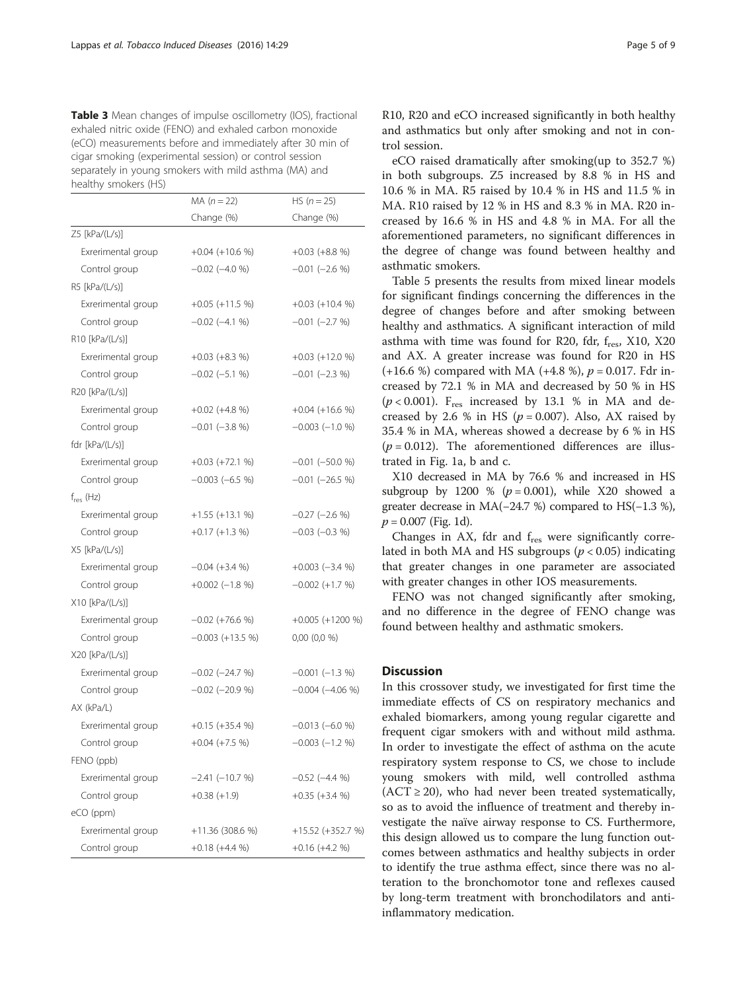<span id="page-4-0"></span>

| <b>Table 3</b> Mean changes of impulse oscillometry (IOS), fractional |
|-----------------------------------------------------------------------|
| exhaled nitric oxide (FENO) and exhaled carbon monoxide               |
| (eCO) measurements before and immediately after 30 min of             |
| cigar smoking (experimental session) or control session               |
| separately in young smokers with mild asthma (MA) and                 |
| healthy smokers (HS)                                                  |

| Change (%)<br>Change (%)<br>Z5 [kPa/(L/s)]<br>Exrerimental group<br>$+0.04 (+10.6 %)$<br>$+0.03 (+8.8 %)$<br>Control group<br>$-0.02$ $(-4.0 %)$<br>$-0.01$ $(-2.6 %)$<br>R5 [kPa/(L/s)]<br>Exrerimental group<br>$+0.05 (+11.5 %)$<br>$+0.03 (+10.4 %)$<br>Control group<br>$-0.02$ ( $-4.1$ %)<br>$-0.01$ $(-2.7 %)$<br>R10 [kPa/(L/s)]<br>Exrerimental group<br>$+0.03 (+12.0 %)$<br>$+0.03 (+8.3 %)$<br>Control group<br>$-0.02$ $(-5.1%$<br>$-0.01$ $(-2.3\% )$<br>R20 [kPa/(L/s)]<br>Exrerimental group<br>$+0.04 (+16.6 %)$<br>$+0.02$ (+4.8 %)<br>Control group<br>$-0.01$ $(-3.8 %)$<br>$-0.003$ $(-1.0 %)$<br>fdr [kPa/(L/s)]<br>Exrerimental group<br>$-0.01$ $(-50.0 %)$<br>$+0.03 (+72.1 %)$<br>Control group<br>$-0.003$ $(-6.5\%)$<br>$-0.01$ $(-26.5\% )$<br>Exrerimental group<br>$-0.27$ ( $-2.6$ %)<br>$+1.55$ (+13.1 %)<br>Control group<br>$-0.03$ $(-0.3 %)$<br>$+0.17 (+1.3 %)$<br>$X5$ [kPa/(L/s)]<br>Exrerimental group<br>$-0.04$ (+3.4 %)<br>$+0.003 (-3.4 %)$<br>Control group<br>$+0.002$ (-1.8 %)<br>$-0.002 (+1.7 %)$<br>X10 [kPa/(L/s)]<br>Exrerimental group<br>$+0.005 (+1200 %)$<br>$-0.02$ (+76.6 %)<br>Control group<br>$-0.003 (+13.5 %)$<br>$0,00$ $(0,0\%$<br>X20 [kPa/(L/s)]<br>Exrerimental group<br>$-0.02$ ( $-24.7$ %)<br>$-0.001$ $(-1.3 %)$<br>$-0.02$ $(-20.9 %)$<br>Control group<br>$-0.004$ $(-4.06\% )$<br>AX (kPa/L)<br>Exrerimental group<br>$+0.15 (+35.4 %)$<br>$-0.013(-6.0%$<br>Control group<br>$-0.003$ $(-1.2 %)$<br>$+0.04$ (+7.5 %)<br>FENO (ppb)<br>Exrerimental group<br>$-2.41 (-10.7 %)$<br>$-0.52$ ( $-4.4$ %)<br>Control group<br>$+0.38(+1.9)$<br>$+0.35 (+3.4 %)$<br>eCO (ppm)<br>Exrerimental group<br>$+11.36(308.6%)$<br>$+15.52 (+352.7 %)$ |                | $MA (n = 22)$    | $HS (n = 25)$    |
|------------------------------------------------------------------------------------------------------------------------------------------------------------------------------------------------------------------------------------------------------------------------------------------------------------------------------------------------------------------------------------------------------------------------------------------------------------------------------------------------------------------------------------------------------------------------------------------------------------------------------------------------------------------------------------------------------------------------------------------------------------------------------------------------------------------------------------------------------------------------------------------------------------------------------------------------------------------------------------------------------------------------------------------------------------------------------------------------------------------------------------------------------------------------------------------------------------------------------------------------------------------------------------------------------------------------------------------------------------------------------------------------------------------------------------------------------------------------------------------------------------------------------------------------------------------------------------------------------------------------------------------------------------------------------------------------------------------------|----------------|------------------|------------------|
|                                                                                                                                                                                                                                                                                                                                                                                                                                                                                                                                                                                                                                                                                                                                                                                                                                                                                                                                                                                                                                                                                                                                                                                                                                                                                                                                                                                                                                                                                                                                                                                                                                                                                                                        |                |                  |                  |
|                                                                                                                                                                                                                                                                                                                                                                                                                                                                                                                                                                                                                                                                                                                                                                                                                                                                                                                                                                                                                                                                                                                                                                                                                                                                                                                                                                                                                                                                                                                                                                                                                                                                                                                        |                |                  |                  |
|                                                                                                                                                                                                                                                                                                                                                                                                                                                                                                                                                                                                                                                                                                                                                                                                                                                                                                                                                                                                                                                                                                                                                                                                                                                                                                                                                                                                                                                                                                                                                                                                                                                                                                                        |                |                  |                  |
|                                                                                                                                                                                                                                                                                                                                                                                                                                                                                                                                                                                                                                                                                                                                                                                                                                                                                                                                                                                                                                                                                                                                                                                                                                                                                                                                                                                                                                                                                                                                                                                                                                                                                                                        |                |                  |                  |
|                                                                                                                                                                                                                                                                                                                                                                                                                                                                                                                                                                                                                                                                                                                                                                                                                                                                                                                                                                                                                                                                                                                                                                                                                                                                                                                                                                                                                                                                                                                                                                                                                                                                                                                        |                |                  |                  |
|                                                                                                                                                                                                                                                                                                                                                                                                                                                                                                                                                                                                                                                                                                                                                                                                                                                                                                                                                                                                                                                                                                                                                                                                                                                                                                                                                                                                                                                                                                                                                                                                                                                                                                                        |                |                  |                  |
|                                                                                                                                                                                                                                                                                                                                                                                                                                                                                                                                                                                                                                                                                                                                                                                                                                                                                                                                                                                                                                                                                                                                                                                                                                                                                                                                                                                                                                                                                                                                                                                                                                                                                                                        |                |                  |                  |
|                                                                                                                                                                                                                                                                                                                                                                                                                                                                                                                                                                                                                                                                                                                                                                                                                                                                                                                                                                                                                                                                                                                                                                                                                                                                                                                                                                                                                                                                                                                                                                                                                                                                                                                        |                |                  |                  |
|                                                                                                                                                                                                                                                                                                                                                                                                                                                                                                                                                                                                                                                                                                                                                                                                                                                                                                                                                                                                                                                                                                                                                                                                                                                                                                                                                                                                                                                                                                                                                                                                                                                                                                                        |                |                  |                  |
|                                                                                                                                                                                                                                                                                                                                                                                                                                                                                                                                                                                                                                                                                                                                                                                                                                                                                                                                                                                                                                                                                                                                                                                                                                                                                                                                                                                                                                                                                                                                                                                                                                                                                                                        |                |                  |                  |
|                                                                                                                                                                                                                                                                                                                                                                                                                                                                                                                                                                                                                                                                                                                                                                                                                                                                                                                                                                                                                                                                                                                                                                                                                                                                                                                                                                                                                                                                                                                                                                                                                                                                                                                        |                |                  |                  |
|                                                                                                                                                                                                                                                                                                                                                                                                                                                                                                                                                                                                                                                                                                                                                                                                                                                                                                                                                                                                                                                                                                                                                                                                                                                                                                                                                                                                                                                                                                                                                                                                                                                                                                                        |                |                  |                  |
|                                                                                                                                                                                                                                                                                                                                                                                                                                                                                                                                                                                                                                                                                                                                                                                                                                                                                                                                                                                                                                                                                                                                                                                                                                                                                                                                                                                                                                                                                                                                                                                                                                                                                                                        |                |                  |                  |
|                                                                                                                                                                                                                                                                                                                                                                                                                                                                                                                                                                                                                                                                                                                                                                                                                                                                                                                                                                                                                                                                                                                                                                                                                                                                                                                                                                                                                                                                                                                                                                                                                                                                                                                        |                |                  |                  |
|                                                                                                                                                                                                                                                                                                                                                                                                                                                                                                                                                                                                                                                                                                                                                                                                                                                                                                                                                                                                                                                                                                                                                                                                                                                                                                                                                                                                                                                                                                                                                                                                                                                                                                                        |                |                  |                  |
|                                                                                                                                                                                                                                                                                                                                                                                                                                                                                                                                                                                                                                                                                                                                                                                                                                                                                                                                                                                                                                                                                                                                                                                                                                                                                                                                                                                                                                                                                                                                                                                                                                                                                                                        |                |                  |                  |
|                                                                                                                                                                                                                                                                                                                                                                                                                                                                                                                                                                                                                                                                                                                                                                                                                                                                                                                                                                                                                                                                                                                                                                                                                                                                                                                                                                                                                                                                                                                                                                                                                                                                                                                        | $f_{res}$ (Hz) |                  |                  |
|                                                                                                                                                                                                                                                                                                                                                                                                                                                                                                                                                                                                                                                                                                                                                                                                                                                                                                                                                                                                                                                                                                                                                                                                                                                                                                                                                                                                                                                                                                                                                                                                                                                                                                                        |                |                  |                  |
|                                                                                                                                                                                                                                                                                                                                                                                                                                                                                                                                                                                                                                                                                                                                                                                                                                                                                                                                                                                                                                                                                                                                                                                                                                                                                                                                                                                                                                                                                                                                                                                                                                                                                                                        |                |                  |                  |
|                                                                                                                                                                                                                                                                                                                                                                                                                                                                                                                                                                                                                                                                                                                                                                                                                                                                                                                                                                                                                                                                                                                                                                                                                                                                                                                                                                                                                                                                                                                                                                                                                                                                                                                        |                |                  |                  |
|                                                                                                                                                                                                                                                                                                                                                                                                                                                                                                                                                                                                                                                                                                                                                                                                                                                                                                                                                                                                                                                                                                                                                                                                                                                                                                                                                                                                                                                                                                                                                                                                                                                                                                                        |                |                  |                  |
|                                                                                                                                                                                                                                                                                                                                                                                                                                                                                                                                                                                                                                                                                                                                                                                                                                                                                                                                                                                                                                                                                                                                                                                                                                                                                                                                                                                                                                                                                                                                                                                                                                                                                                                        |                |                  |                  |
|                                                                                                                                                                                                                                                                                                                                                                                                                                                                                                                                                                                                                                                                                                                                                                                                                                                                                                                                                                                                                                                                                                                                                                                                                                                                                                                                                                                                                                                                                                                                                                                                                                                                                                                        |                |                  |                  |
|                                                                                                                                                                                                                                                                                                                                                                                                                                                                                                                                                                                                                                                                                                                                                                                                                                                                                                                                                                                                                                                                                                                                                                                                                                                                                                                                                                                                                                                                                                                                                                                                                                                                                                                        |                |                  |                  |
|                                                                                                                                                                                                                                                                                                                                                                                                                                                                                                                                                                                                                                                                                                                                                                                                                                                                                                                                                                                                                                                                                                                                                                                                                                                                                                                                                                                                                                                                                                                                                                                                                                                                                                                        |                |                  |                  |
|                                                                                                                                                                                                                                                                                                                                                                                                                                                                                                                                                                                                                                                                                                                                                                                                                                                                                                                                                                                                                                                                                                                                                                                                                                                                                                                                                                                                                                                                                                                                                                                                                                                                                                                        |                |                  |                  |
|                                                                                                                                                                                                                                                                                                                                                                                                                                                                                                                                                                                                                                                                                                                                                                                                                                                                                                                                                                                                                                                                                                                                                                                                                                                                                                                                                                                                                                                                                                                                                                                                                                                                                                                        |                |                  |                  |
|                                                                                                                                                                                                                                                                                                                                                                                                                                                                                                                                                                                                                                                                                                                                                                                                                                                                                                                                                                                                                                                                                                                                                                                                                                                                                                                                                                                                                                                                                                                                                                                                                                                                                                                        |                |                  |                  |
|                                                                                                                                                                                                                                                                                                                                                                                                                                                                                                                                                                                                                                                                                                                                                                                                                                                                                                                                                                                                                                                                                                                                                                                                                                                                                                                                                                                                                                                                                                                                                                                                                                                                                                                        |                |                  |                  |
|                                                                                                                                                                                                                                                                                                                                                                                                                                                                                                                                                                                                                                                                                                                                                                                                                                                                                                                                                                                                                                                                                                                                                                                                                                                                                                                                                                                                                                                                                                                                                                                                                                                                                                                        |                |                  |                  |
|                                                                                                                                                                                                                                                                                                                                                                                                                                                                                                                                                                                                                                                                                                                                                                                                                                                                                                                                                                                                                                                                                                                                                                                                                                                                                                                                                                                                                                                                                                                                                                                                                                                                                                                        |                |                  |                  |
|                                                                                                                                                                                                                                                                                                                                                                                                                                                                                                                                                                                                                                                                                                                                                                                                                                                                                                                                                                                                                                                                                                                                                                                                                                                                                                                                                                                                                                                                                                                                                                                                                                                                                                                        |                |                  |                  |
|                                                                                                                                                                                                                                                                                                                                                                                                                                                                                                                                                                                                                                                                                                                                                                                                                                                                                                                                                                                                                                                                                                                                                                                                                                                                                                                                                                                                                                                                                                                                                                                                                                                                                                                        |                |                  |                  |
|                                                                                                                                                                                                                                                                                                                                                                                                                                                                                                                                                                                                                                                                                                                                                                                                                                                                                                                                                                                                                                                                                                                                                                                                                                                                                                                                                                                                                                                                                                                                                                                                                                                                                                                        |                |                  |                  |
|                                                                                                                                                                                                                                                                                                                                                                                                                                                                                                                                                                                                                                                                                                                                                                                                                                                                                                                                                                                                                                                                                                                                                                                                                                                                                                                                                                                                                                                                                                                                                                                                                                                                                                                        |                |                  |                  |
|                                                                                                                                                                                                                                                                                                                                                                                                                                                                                                                                                                                                                                                                                                                                                                                                                                                                                                                                                                                                                                                                                                                                                                                                                                                                                                                                                                                                                                                                                                                                                                                                                                                                                                                        |                |                  |                  |
|                                                                                                                                                                                                                                                                                                                                                                                                                                                                                                                                                                                                                                                                                                                                                                                                                                                                                                                                                                                                                                                                                                                                                                                                                                                                                                                                                                                                                                                                                                                                                                                                                                                                                                                        | Control group  | $+0.18 (+4.4 %)$ | $+0.16 (+4.2 %)$ |

R10, R20 and eCO increased significantly in both healthy and asthmatics but only after smoking and not in control session.

eCO raised dramatically after smoking(up to 352.7 %) in both subgroups. Z5 increased by 8.8 % in HS and 10.6 % in MA. R5 raised by 10.4 % in HS and 11.5 % in MA. R10 raised by 12 % in HS and 8.3 % in MA. R20 increased by 16.6 % in HS and 4.8 % in MA. For all the aforementioned parameters, no significant differences in the degree of change was found between healthy and asthmatic smokers.

Table [5](#page-5-0) presents the results from mixed linear models for significant findings concerning the differences in the degree of changes before and after smoking between healthy and asthmatics. A significant interaction of mild asthma with time was found for R20, fdr,  $f_{res}$ , X10, X20 and AX. A greater increase was found for R20 in HS (+16.6 %) compared with MA (+4.8 %),  $p = 0.017$ . Fdr increased by 72.1 % in MA and decreased by 50 % in HS  $(p < 0.001)$ .  $F_{res}$  increased by 13.1 % in MA and decreased by 2.6 % in HS ( $p = 0.007$ ). Also, AX raised by 35.4 % in MA, whereas showed a decrease by 6 % in HS  $(p = 0.012)$ . The aforementioned differences are illustrated in Fig. [1a, b and c](#page-6-0).

X10 decreased in MA by 76.6 % and increased in HS subgroup by 1200 % ( $p = 0.001$ ), while X20 showed a greater decrease in MA(−24.7 %) compared to HS(−1.3 %),  $p = 0.007$  (Fig. [1d\)](#page-6-0).

Changes in AX, fdr and  $f_{res}$  were significantly correlated in both MA and HS subgroups ( $p < 0.05$ ) indicating that greater changes in one parameter are associated with greater changes in other IOS measurements.

FENO was not changed significantly after smoking, and no difference in the degree of FENO change was found between healthy and asthmatic smokers.

## **Discussion**

In this crossover study, we investigated for first time the immediate effects of CS on respiratory mechanics and exhaled biomarkers, among young regular cigarette and frequent cigar smokers with and without mild asthma. In order to investigate the effect of asthma on the acute respiratory system response to CS, we chose to include young smokers with mild, well controlled asthma  $(ACT \geq 20)$ , who had never been treated systematically, so as to avoid the influence of treatment and thereby investigate the naïve airway response to CS. Furthermore, this design allowed us to compare the lung function outcomes between asthmatics and healthy subjects in order to identify the true asthma effect, since there was no alteration to the bronchomotor tone and reflexes caused by long-term treatment with bronchodilators and antiinflammatory medication.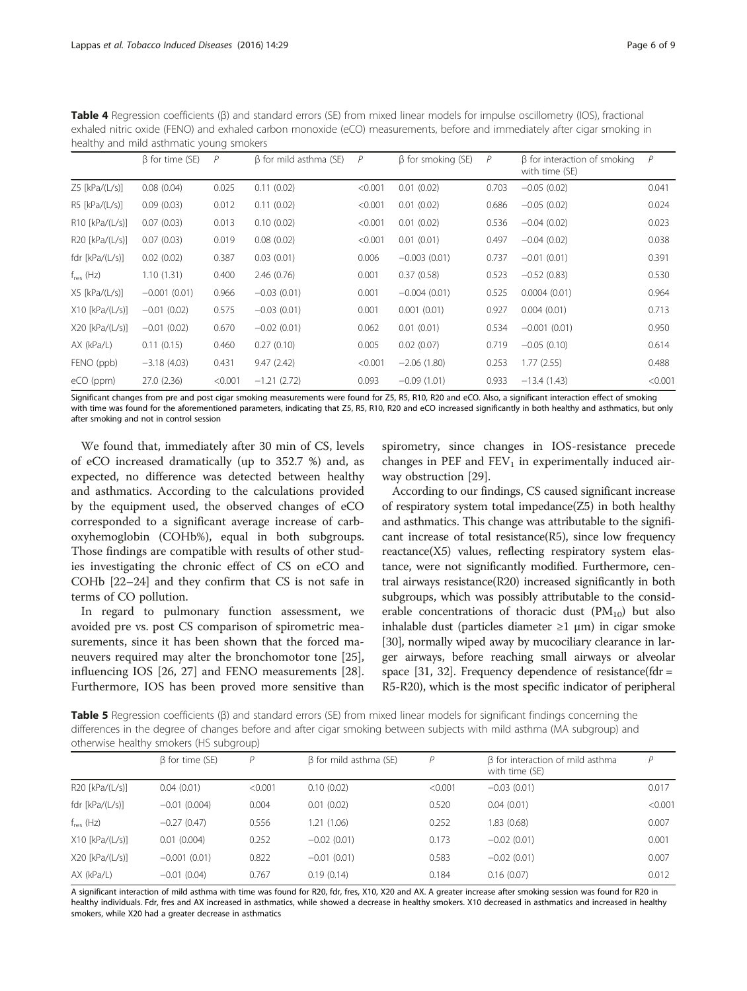<span id="page-5-0"></span>Table 4 Regression coefficients (β) and standard errors (SE) from mixed linear models for impulse oscillometry (IOS), fractional exhaled nitric oxide (FENO) and exhaled carbon monoxide (eCO) measurements, before and immediately after cigar smoking in healthy and mild asthmatic young smokers

|                     | $\beta$ for time (SE) | P       | $\beta$ for mild asthma (SE) | P       | $\beta$ for smoking (SE) | P     | $\beta$ for interaction of smoking<br>with time (SE) | $\overline{P}$ |
|---------------------|-----------------------|---------|------------------------------|---------|--------------------------|-------|------------------------------------------------------|----------------|
| $Z5$ [kPa/(L/s)]    | 0.08(0.04)            | 0.025   | 0.11(0.02)                   | < 0.001 | 0.01(0.02)               | 0.703 | $-0.05(0.02)$                                        | 0.041          |
| $RS$ [kPa/(L/s)]    | 0.09(0.03)            | 0.012   | 0.11(0.02)                   | < 0.001 | 0.01(0.02)               | 0.686 | $-0.05(0.02)$                                        | 0.024          |
| $R10$ [kPa/(L/s)]   | 0.07(0.03)            | 0.013   | 0.10(0.02)                   | < 0.001 | 0.01(0.02)               | 0.536 | $-0.04(0.02)$                                        | 0.023          |
| $R20$ [kPa/(L/s)]   | 0.07(0.03)            | 0.019   | 0.08(0.02)                   | < 0.001 | 0.01(0.01)               | 0.497 | $-0.04(0.02)$                                        | 0.038          |
| fdr [kPa/ $(L/s)$ ] | 0.02(0.02)            | 0.387   | 0.03(0.01)                   | 0.006   | $-0.003(0.01)$           | 0.737 | $-0.01(0.01)$                                        | 0.391          |
| $f_{res}$ (Hz)      | 1.10(1.31)            | 0.400   | 2.46(0.76)                   | 0.001   | 0.37(0.58)               | 0.523 | $-0.52(0.83)$                                        | 0.530          |
| $X5$ [kPa/(L/s)]    | $-0.001(0.01)$        | 0.966   | $-0.03(0.01)$                | 0.001   | $-0.004(0.01)$           | 0.525 | 0.0004(0.01)                                         | 0.964          |
| $X10$ [kPa/(L/s)]   | $-0.01(0.02)$         | 0.575   | $-0.03(0.01)$                | 0.001   | 0.001(0.01)              | 0.927 | 0.004(0.01)                                          | 0.713          |
| $X20$ [kPa/(L/s)]   | $-0.01(0.02)$         | 0.670   | $-0.02(0.01)$                | 0.062   | 0.01(0.01)               | 0.534 | $-0.001(0.01)$                                       | 0.950          |
| $AX$ (kPa/L)        | 0.11(0.15)            | 0.460   | 0.27(0.10)                   | 0.005   | 0.02(0.07)               | 0.719 | $-0.05(0.10)$                                        | 0.614          |
| FENO (ppb)          | $-3.18(4.03)$         | 0.431   | 9.47(2.42)                   | < 0.001 | $-2.06(1.80)$            | 0.253 | 1.77(2.55)                                           | 0.488          |
| eCO (ppm)           | 27.0 (2.36)           | < 0.001 | $-1.21(2.72)$                | 0.093   | $-0.09(1.01)$            | 0.933 | $-13.4(1.43)$                                        | < 0.001        |

Significant changes from pre and post cigar smoking measurements were found for Z5, R5, R10, R20 and eCO. Also, a significant interaction effect of smoking with time was found for the aforementioned parameters, indicating that Z5, R5, R10, R20 and eCO increased significantly in both healthy and asthmatics, but only after smoking and not in control session

We found that, immediately after 30 min of CS, levels of eCO increased dramatically (up to 352.7 %) and, as expected, no difference was detected between healthy and asthmatics. According to the calculations provided by the equipment used, the observed changes of eCO corresponded to a significant average increase of carboxyhemoglobin (COHb%), equal in both subgroups. Those findings are compatible with results of other studies investigating the chronic effect of CS on eCO and COHb [[22](#page-8-0)–[24](#page-8-0)] and they confirm that CS is not safe in terms of CO pollution.

In regard to pulmonary function assessment, we avoided pre vs. post CS comparison of spirometric measurements, since it has been shown that the forced maneuvers required may alter the bronchomotor tone [\[25](#page-8-0)], influencing IOS [[26, 27](#page-8-0)] and FENO measurements [\[28](#page-8-0)]. Furthermore, IOS has been proved more sensitive than

spirometry, since changes in IOS-resistance precede changes in PEF and  $FEV<sub>1</sub>$  in experimentally induced airway obstruction [\[29](#page-8-0)].

According to our findings, CS caused significant increase of respiratory system total impedance(Z5) in both healthy and asthmatics. This change was attributable to the significant increase of total resistance $(R5)$ , since low frequency reactance(X5) values, reflecting respiratory system elastance, were not significantly modified. Furthermore, central airways resistance(R20) increased significantly in both subgroups, which was possibly attributable to the considerable concentrations of thoracic dust  $(PM_{10})$  but also inhalable dust (particles diameter  $\geq 1$  µm) in cigar smoke [[30](#page-8-0)], normally wiped away by mucociliary clearance in larger airways, before reaching small airways or alveolar space [\[31](#page-8-0), [32](#page-8-0)]. Frequency dependence of resistance(fdr = R5-R20), which is the most specific indicator of peripheral

Table 5 Regression coefficients (β) and standard errors (SE) from mixed linear models for significant findings concerning the differences in the degree of changes before and after cigar smoking between subjects with mild asthma (MA subgroup) and otherwise healthy smokers (HS subgroup)

|                   | $\beta$ for time (SE) | P       | $\beta$ for mild asthma (SE) | P       | β for interaction of mild asthma<br>with time (SE) | D       |
|-------------------|-----------------------|---------|------------------------------|---------|----------------------------------------------------|---------|
| $R20$ [kPa/(L/s)] | 0.04(0.01)            | < 0.001 | 0.10(0.02)                   | < 0.001 | $-0.03(0.01)$                                      | 0.017   |
| fdr $[kPa/(L/s)]$ | $-0.01(0.004)$        | 0.004   | 0.01(0.02)                   | 0.520   | 0.04(0.01)                                         | < 0.001 |
| $f_{res}$ (Hz)    | $-0.27(0.47)$         | 0.556   | 1.21 (1.06)                  | 0.252   | 1.83 (0.68)                                        | 0.007   |
| $X10$ [kPa/(L/s)] | 0.01(0.004)           | 0.252   | $-0.02(0.01)$                | 0.173   | $-0.02(0.01)$                                      | 0.001   |
| $X20$ [kPa/(L/s)] | $-0.001(0.01)$        | 0.822   | $-0.01(0.01)$                | 0.583   | $-0.02(0.01)$                                      | 0.007   |
| $AX$ (kPa/L)      | $-0.01(0.04)$         | 0.767   | 0.19(0.14)                   | 0.184   | 0.16(0.07)                                         | 0.012   |

A significant interaction of mild asthma with time was found for R20, fdr, fres, X10, X20 and AX. A greater increase after smoking session was found for R20 in healthy individuals. Fdr, fres and AX increased in asthmatics, while showed a decrease in healthy smokers. X10 decreased in asthmatics and increased in healthy smokers, while X20 had a greater decrease in asthmatics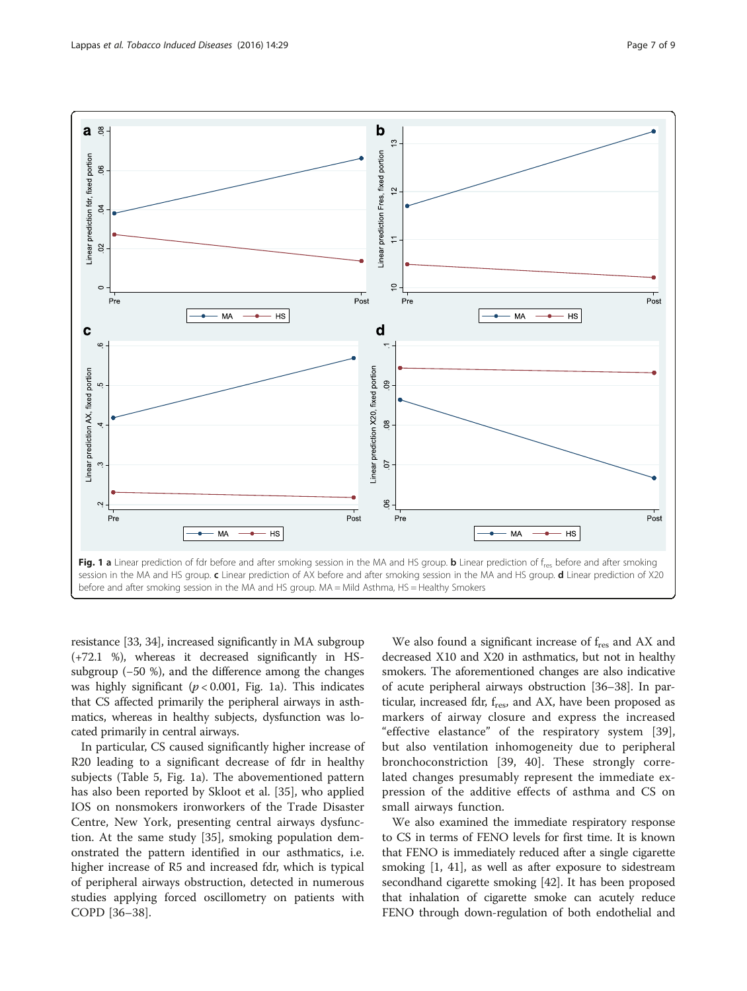<span id="page-6-0"></span>

resistance [\[33, 34](#page-8-0)], increased significantly in MA subgroup (+72.1 %), whereas it decreased significantly in HSsubgroup (−50 %), and the difference among the changes was highly significant ( $p < 0.001$ , Fig. 1a). This indicates that CS affected primarily the peripheral airways in asthmatics, whereas in healthy subjects, dysfunction was located primarily in central airways.

In particular, CS caused significantly higher increase of R20 leading to a significant decrease of fdr in healthy subjects (Table [5](#page-5-0), Fig. 1a). The abovementioned pattern has also been reported by Skloot et al. [[35\]](#page-8-0), who applied IOS on nonsmokers ironworkers of the Trade Disaster Centre, New York, presenting central airways dysfunction. At the same study [[35](#page-8-0)], smoking population demonstrated the pattern identified in our asthmatics, i.e. higher increase of R5 and increased fdr, which is typical of peripheral airways obstruction, detected in numerous studies applying forced oscillometry on patients with COPD [[36](#page-8-0)–[38](#page-8-0)].

We also found a significant increase of f<sub>res</sub> and AX and decreased X10 and X20 in asthmatics, but not in healthy smokers. The aforementioned changes are also indicative of acute peripheral airways obstruction [[36](#page-8-0)–[38\]](#page-8-0). In particular, increased fdr,  $f_{res}$ , and AX, have been proposed as markers of airway closure and express the increased "effective elastance" of the respiratory system [\[39](#page-8-0)], but also ventilation inhomogeneity due to peripheral bronchoconstriction [[39, 40\]](#page-8-0). These strongly correlated changes presumably represent the immediate expression of the additive effects of asthma and CS on small airways function.

We also examined the immediate respiratory response to CS in terms of FENO levels for first time. It is known that FENO is immediately reduced after a single cigarette smoking [\[1,](#page-7-0) [41\]](#page-8-0), as well as after exposure to sidestream secondhand cigarette smoking [\[42\]](#page-8-0). It has been proposed that inhalation of cigarette smoke can acutely reduce FENO through down-regulation of both endothelial and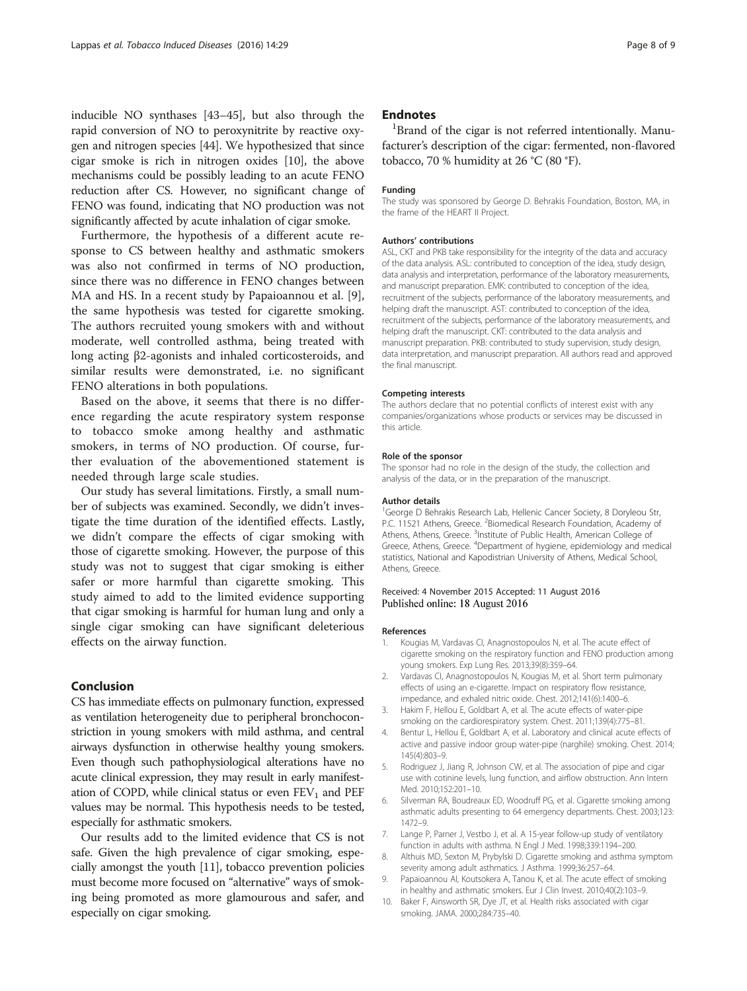<span id="page-7-0"></span>inducible NO synthases [\[43](#page-8-0)–[45](#page-8-0)], but also through the rapid conversion of NO to peroxynitrite by reactive oxygen and nitrogen species [\[44\]](#page-8-0). We hypothesized that since cigar smoke is rich in nitrogen oxides [10], the above mechanisms could be possibly leading to an acute FENO reduction after CS. However, no significant change of FENO was found, indicating that NO production was not significantly affected by acute inhalation of cigar smoke.

Furthermore, the hypothesis of a different acute response to CS between healthy and asthmatic smokers was also not confirmed in terms of NO production, since there was no difference in FENO changes between MA and HS. In a recent study by Papaioannou et al. [9], the same hypothesis was tested for cigarette smoking. The authors recruited young smokers with and without moderate, well controlled asthma, being treated with long acting β2-agonists and inhaled corticosteroids, and similar results were demonstrated, i.e. no significant FENO alterations in both populations.

Based on the above, it seems that there is no difference regarding the acute respiratory system response to tobacco smoke among healthy and asthmatic smokers, in terms of NO production. Of course, further evaluation of the abovementioned statement is needed through large scale studies.

Our study has several limitations. Firstly, a small number of subjects was examined. Secondly, we didn't investigate the time duration of the identified effects. Lastly, we didn't compare the effects of cigar smoking with those of cigarette smoking. However, the purpose of this study was not to suggest that cigar smoking is either safer or more harmful than cigarette smoking. This study aimed to add to the limited evidence supporting that cigar smoking is harmful for human lung and only a single cigar smoking can have significant deleterious effects on the airway function.

## Conclusion

CS has immediate effects on pulmonary function, expressed as ventilation heterogeneity due to peripheral bronchoconstriction in young smokers with mild asthma, and central airways dysfunction in otherwise healthy young smokers. Even though such pathophysiological alterations have no acute clinical expression, they may result in early manifestation of COPD, while clinical status or even  $FEV<sub>1</sub>$  and  $PEF$ values may be normal. This hypothesis needs to be tested, especially for asthmatic smokers.

Our results add to the limited evidence that CS is not safe. Given the high prevalence of cigar smoking, especially amongst the youth [\[11\]](#page-8-0), tobacco prevention policies must become more focused on "alternative" ways of smoking being promoted as more glamourous and safer, and especially on cigar smoking.

## **Endnotes**

 ${}^{1}$ Brand of the cigar is not referred intentionally. Manufacturer's description of the cigar: fermented, non-flavored tobacco, 70 % humidity at 26 °C (80 °F).

#### Funding

The study was sponsored by George D. Behrakis Foundation, Boston, MA, in the frame of the HEART II Project.

#### Authors' contributions

ASL, CKT and PKB take responsibility for the integrity of the data and accuracy of the data analysis. ASL: contributed to conception of the idea, study design, data analysis and interpretation, performance of the laboratory measurements, and manuscript preparation. EMK: contributed to conception of the idea, recruitment of the subjects, performance of the laboratory measurements, and helping draft the manuscript. AST: contributed to conception of the idea, recruitment of the subjects, performance of the laboratory measurements, and helping draft the manuscript. CKT: contributed to the data analysis and manuscript preparation. PKB: contributed to study supervision, study design, data interpretation, and manuscript preparation. All authors read and approved the final manuscript.

#### Competing interests

The authors declare that no potential conflicts of interest exist with any companies/organizations whose products or services may be discussed in this article.

#### Role of the sponsor

The sponsor had no role in the design of the study, the collection and analysis of the data, or in the preparation of the manuscript.

#### Author details

<sup>1</sup>George D Behrakis Research Lab, Hellenic Cancer Society, 8 Doryleou Str, P.C. 11521 Athens, Greece. <sup>2</sup>Biomedical Research Foundation, Academy of Athens, Athens, Greece. <sup>3</sup>Institute of Public Health, American College of Greece, Athens, Greece. <sup>4</sup>Department of hygiene, epidemiology and medical statistics, National and Kapodistrian University of Athens, Medical School, Athens, Greece.

#### Received: 4 November 2015 Accepted: 11 August 2016 Published online: 18 August 2016

#### References

- 1. Kougias M, Vardavas CI, Anagnostopoulos N, et al. The acute effect of cigarette smoking on the respiratory function and FENO production among young smokers. Exp Lung Res. 2013;39(8):359–64.
- 2. Vardavas CI, Anagnostopoulos N, Kougias M, et al. Short term pulmonary effects of using an e-cigarette. Impact on respiratory flow resistance, impedance, and exhaled nitric oxide. Chest. 2012;141(6):1400–6.
- 3. Hakim F, Hellou E, Goldbart A, et al. The acute effects of water-pipe smoking on the cardiorespiratory system. Chest. 2011;139(4):775–81.
- 4. Bentur L, Hellou E, Goldbart A, et al. Laboratory and clinical acute effects of active and passive indoor group water-pipe (narghile) smoking. Chest. 2014; 145(4):803–9.
- 5. Rodriguez J, Jiang R, Johnson CW, et al. The association of pipe and cigar use with cotinine levels, lung function, and airflow obstruction. Ann Intern Med. 2010;152:201–10.
- 6. Silverman RA, Boudreaux ED, Woodruff PG, et al. Cigarette smoking among asthmatic adults presenting to 64 emergency departments. Chest. 2003;123: 1472–9.
- 7. Lange P, Parner J, Vestbo J, et al. A 15-year follow-up study of ventilatory function in adults with asthma. N Engl J Med. 1998;339:1194–200.
- 8. Althuis MD, Sexton M, Prybylski D. Cigarette smoking and asthma symptom severity among adult asthmatics. J Asthma. 1999;36:257–64.
- 9. Papaioannou AI, Koutsokera A, Tanou K, et al. The acute effect of smoking in healthy and asthmatic smokers. Eur J Clin Invest. 2010;40(2):103–9.
- 10. Baker F, Ainsworth SR, Dye JT, et al. Health risks associated with cigar smoking. JAMA. 2000;284:735–40.